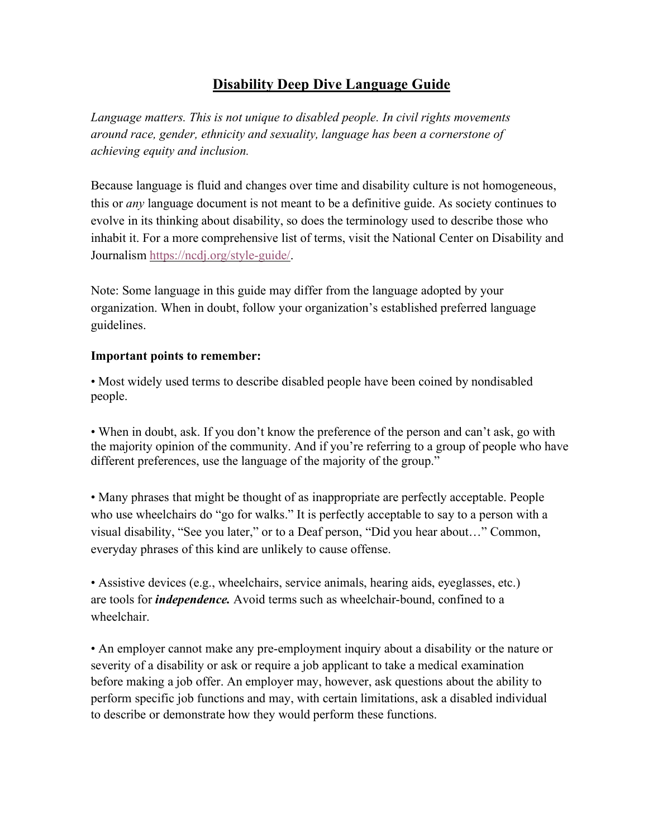## **Disability Deep Dive Language Guide**

*Language matters. This is not unique to disabled people. In civil rights movements around race, gender, ethnicity and sexuality, language has been a cornerstone of achieving equity and inclusion.*

Because language is fluid and changes over time and disability culture is not homogeneous, this or *any* language document is not meant to be a definitive guide. As society continues to evolve in its thinking about disability, so does the terminology used to describe those who inhabit it. For a more comprehensive list of terms, visit the National Center on Disability and Journalism https://ncdj.org/style-guide/.

Note: Some language in this guide may differ from the language adopted by your organization. When in doubt, follow your organization's established preferred language guidelines.

## **Important points to remember:**

• Most widely used terms to describe disabled people have been coined by nondisabled people.

• When in doubt, ask. If you don't know the preference of the person and can't ask, go with the majority opinion of the community. And if you're referring to a group of people who have different preferences, use the language of the majority of the group."

• Many phrases that might be thought of as inappropriate are perfectly acceptable. People who use wheelchairs do "go for walks." It is perfectly acceptable to say to a person with a visual disability, "See you later," or to a Deaf person, "Did you hear about…" Common, everyday phrases of this kind are unlikely to cause offense.

• Assistive devices (e.g., wheelchairs, service animals, hearing aids, eyeglasses, etc.) are tools for *independence.* Avoid terms such as wheelchair-bound, confined to a wheelchair.

• An employer cannot make any pre-employment inquiry about a disability or the nature or severity of a disability or ask or require a job applicant to take a medical examination before making a job offer. An employer may, however, ask questions about the ability to perform specific job functions and may, with certain limitations, ask a disabled individual to describe or demonstrate how they would perform these functions.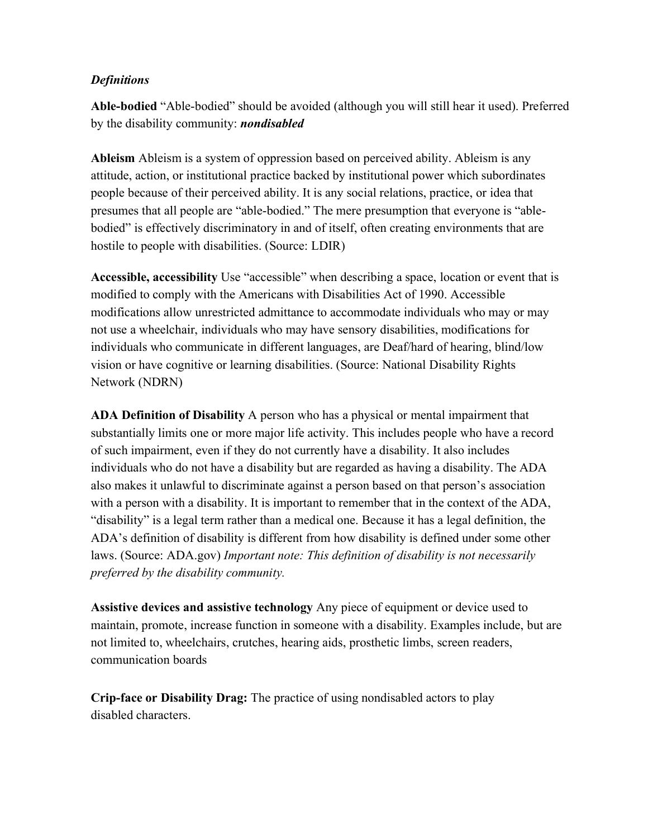## *Definitions*

**Able-bodied** "Able-bodied" should be avoided (although you will still hear it used). Preferred by the disability community: *nondisabled*

**Ableism** Ableism is a system of oppression based on perceived ability. Ableism is any attitude, action, or institutional practice backed by institutional power which subordinates people because of their perceived ability. It is any social relations, practice, or idea that presumes that all people are "able-bodied." The mere presumption that everyone is "ablebodied" is effectively discriminatory in and of itself, often creating environments that are hostile to people with disabilities. (Source: LDIR)

**Accessible, accessibility** Use "accessible" when describing a space, location or event that is modified to comply with the Americans with Disabilities Act of 1990. Accessible modifications allow unrestricted admittance to accommodate individuals who may or may not use a wheelchair, individuals who may have sensory disabilities, modifications for individuals who communicate in different languages, are Deaf/hard of hearing, blind/low vision or have cognitive or learning disabilities. (Source: National Disability Rights Network (NDRN)

**ADA Definition of Disability** A person who has a physical or mental impairment that substantially limits one or more major life activity. This includes people who have a record of such impairment, even if they do not currently have a disability. It also includes individuals who do not have a disability but are regarded as having a disability. The ADA also makes it unlawful to discriminate against a person based on that person's association with a person with a disability. It is important to remember that in the context of the ADA, "disability" is a legal term rather than a medical one. Because it has a legal definition, the ADA's definition of disability is different from how disability is defined under some other laws. (Source: ADA.gov) *Important note: This definition of disability is not necessarily preferred by the disability community.*

**Assistive devices and assistive technology** Any piece of equipment or device used to maintain, promote, increase function in someone with a disability. Examples include, but are not limited to, wheelchairs, crutches, hearing aids, prosthetic limbs, screen readers, communication boards

**Crip-face or Disability Drag:** The practice of using nondisabled actors to play disabled characters.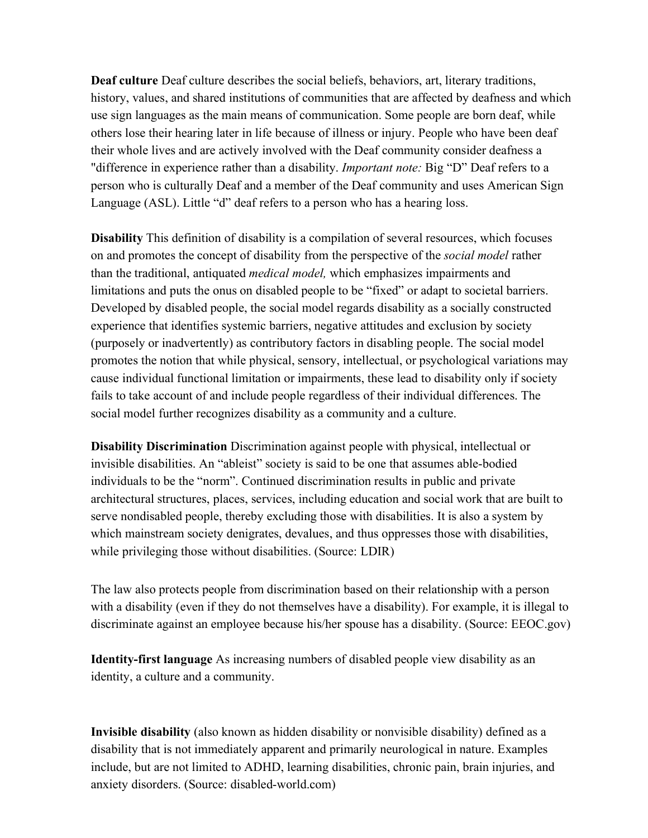**Deaf culture** Deaf culture describes the social beliefs, behaviors, art, literary traditions, history, values, and shared institutions of communities that are affected by deafness and which use sign languages as the main means of communication. Some people are born deaf, while others lose their hearing later in life because of illness or injury. People who have been deaf their whole lives and are actively involved with the Deaf community consider deafness a "difference in experience rather than a disability. *Important note:* Big "D" Deaf refers to a person who is culturally Deaf and a member of the Deaf community and uses American Sign Language (ASL). Little "d" deaf refers to a person who has a hearing loss.

**Disability** This definition of disability is a compilation of several resources, which focuses on and promotes the concept of disability from the perspective of the *social model* rather than the traditional, antiquated *medical model,* which emphasizes impairments and limitations and puts the onus on disabled people to be "fixed" or adapt to societal barriers. Developed by disabled people, the social model regards disability as a socially constructed experience that identifies systemic barriers, negative attitudes and exclusion by society (purposely or inadvertently) as contributory factors in disabling people. The social model promotes the notion that while physical, sensory, intellectual, or psychological variations may cause individual functional limitation or impairments, these lead to disability only if society fails to take account of and include people regardless of their individual differences. The social model further recognizes disability as a community and a culture.

**Disability Discrimination** Discrimination against people with physical, intellectual or invisible disabilities. An "ableist" society is said to be one that assumes able-bodied individuals to be the "norm". Continued discrimination results in public and private architectural structures, places, services, including education and social work that are built to serve nondisabled people, thereby excluding those with disabilities. It is also a system by which mainstream society denigrates, devalues, and thus oppresses those with disabilities, while privileging those without disabilities. (Source: LDIR)

The law also protects people from discrimination based on their relationship with a person with a disability (even if they do not themselves have a disability). For example, it is illegal to discriminate against an employee because his/her spouse has a disability. (Source: EEOC.gov)

**Identity-first language** As increasing numbers of disabled people view disability as an identity, a culture and a community.

**Invisible disability** (also known as hidden disability or nonvisible disability) defined as a disability that is not immediately apparent and primarily neurological in nature. Examples include, but are not limited to ADHD, learning disabilities, chronic pain, brain injuries, and anxiety disorders. (Source: disabled-world.com)